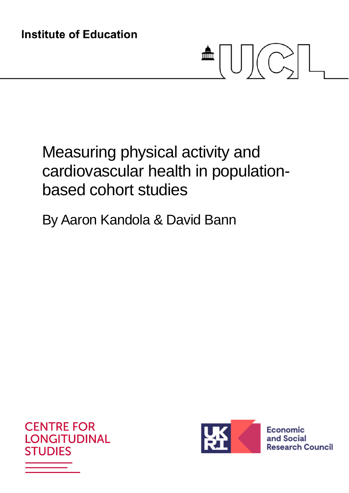# $\bigoplus$

# Measuring physical activity and cardiovascular health in populationbased cohort studies

# By Aaron Kandola & David Bann





**Economic** and Social **Research Council**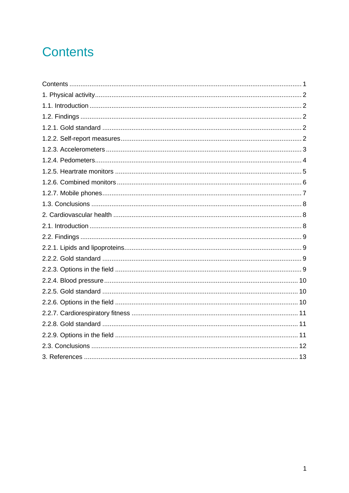# **Contents**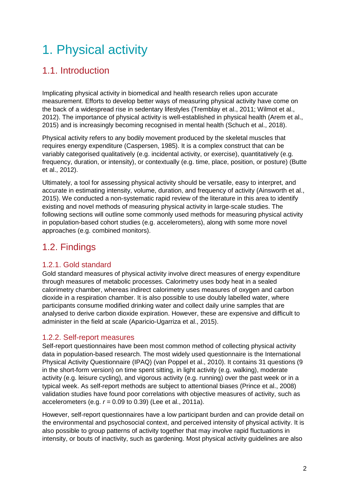# 1. Physical activity

### 1.1. Introduction

Implicating physical activity in biomedical and health research relies upon accurate measurement. Efforts to develop better ways of measuring physical activity have come on the back of a widespread rise in sedentary lifestyles (Tremblay et al., 2011; Wilmot et al., 2012). The importance of physical activity is well-established in physical health (Arem et al., 2015) and is increasingly becoming recognised in mental health (Schuch et al., 2018).

Physical activity refers to any bodily movement produced by the skeletal muscles that requires energy expenditure (Caspersen, 1985). It is a complex construct that can be variably categorised qualitatively (e.g. incidental activity, or exercise), quantitatively (e.g. frequency, duration, or intensity), or contextually (e.g. time, place, position, or posture) (Butte et al., 2012).

Ultimately, a tool for assessing physical activity should be versatile, easy to interpret, and accurate in estimating intensity, volume, duration, and frequency of activity (Ainsworth et al., 2015). We conducted a non-systematic rapid review of the literature in this area to identify existing and novel methods of measuring physical activity in large-scale studies. The following sections will outline some commonly used methods for measuring physical activity in population-based cohort studies (e.g. accelerometers), along with some more novel approaches (e.g. combined monitors).

## 1.2. Findings

### 1.2.1. Gold standard

Gold standard measures of physical activity involve direct measures of energy expenditure through measures of metabolic processes. Calorimetry uses body heat in a sealed calorimetry chamber, whereas indirect calorimetry uses measures of oxygen and carbon dioxide in a respiration chamber. It is also possible to use doubly labelled water, where participants consume modified drinking water and collect daily urine samples that are analysed to derive carbon dioxide expiration. However, these are expensive and difficult to administer in the field at scale (Aparicio-Ugarriza et al., 2015).

### 1.2.2. Self-report measures

Self-report questionnaires have been most common method of collecting physical activity data in population-based research. The most widely used questionnaire is the International Physical Activity Questionnaire (IPAQ) (van Poppel et al., 2010). It contains 31 questions (9 in the short-form version) on time spent sitting, in light activity (e.g. walking), moderate activity (e.g. leisure cycling), and vigorous activity (e.g. running) over the past week or in a typical week. As self-report methods are subject to attentional biases (Prince et al., 2008) validation studies have found poor correlations with objective measures of activity, such as accelerometers (e.g. *r* = 0.09 to 0.39) (Lee et al., 2011a).

However, self-report questionnaires have a low participant burden and can provide detail on the environmental and psychosocial context, and perceived intensity of physical activity. It is also possible to group patterns of activity together that may involve rapid fluctuations in intensity, or bouts of inactivity, such as gardening. Most physical activity guidelines are also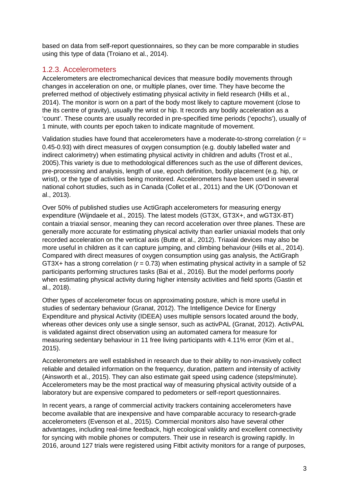based on data from self-report questionnaires, so they can be more comparable in studies using this type of data (Troiano et al., 2014).

### 1.2.3. Accelerometers

Accelerometers are electromechanical devices that measure bodily movements through changes in acceleration on one, or multiple planes, over time. They have become the preferred method of objectively estimating physical activity in field research (Hills et al., 2014). The monitor is worn on a part of the body most likely to capture movement (close to the its centre of gravity), usually the wrist or hip. It records any bodily acceleration as a 'count'. These counts are usually recorded in pre-specified time periods ('epochs'), usually of 1 minute, with counts per epoch taken to indicate magnitude of movement.

Validation studies have found that accelerometers have a moderate-to-strong correlation (*r* = 0.45-0.93) with direct measures of oxygen consumption (e.g. doubly labelled water and indirect calorimetry) when estimating physical activity in children and adults (Trost et al., 2005).This variety is due to methodological differences such as the use of different devices, pre-processing and analysis, length of use, epoch definition, bodily placement (e.g. hip, or wrist), or the type of activities being monitored. Accelerometers have been used in several national cohort studies, such as in Canada (Collet et al., 2011) and the UK (O'Donovan et al., 2013).

Over 50% of published studies use ActiGraph accelerometers for measuring energy expenditure (Wijndaele et al., 2015). The latest models (GT3X, GT3X+, and wGT3X-BT) contain a triaxial sensor, meaning they can record acceleration over three planes. These are generally more accurate for estimating physical activity than earlier uniaxial models that only recorded acceleration on the vertical axis (Butte et al., 2012). Triaxial devices may also be more useful in children as it can capture jumping, and climbing behaviour (Hills et al., 2014). Compared with direct measures of oxygen consumption using gas analysis, the ActiGraph GT3X+ has a strong correlation (*r* = 0.73) when estimating physical activity in a sample of 52 participants performing structures tasks (Bai et al., 2016). But the model performs poorly when estimating physical activity during higher intensity activities and field sports (Gastin et al., 2018).

Other types of accelerometer focus on approximating posture, which is more useful in studies of sedentary behaviour (Granat, 2012). The Intelligence Device for Energy Expenditure and physical Activity (IDEEA) uses multiple sensors located around the body, whereas other devices only use a single sensor, such as activPAL (Granat, 2012). ActivPAL is validated against direct observation using an automated camera for measure for measuring sedentary behaviour in 11 free living participants with 4.11% error (Kim et al., 2015).

Accelerometers are well established in research due to their ability to non-invasively collect reliable and detailed information on the frequency, duration, pattern and intensity of activity (Ainsworth et al., 2015). They can also estimate gait speed using cadence (steps/minute). Accelerometers may be the most practical way of measuring physical activity outside of a laboratory but are expensive compared to pedometers or self-report questionnaires.

In recent years, a range of commercial activity trackers containing accelerometers have become available that are inexpensive and have comparable accuracy to research-grade accelerometers (Evenson et al., 2015). Commercial monitors also have several other advantages, including real-time feedback, high ecological validity and excellent connectivity for syncing with mobile phones or computers. Their use in research is growing rapidly. In 2016, around 127 trials were registered using Fitbit activity monitors for a range of purposes,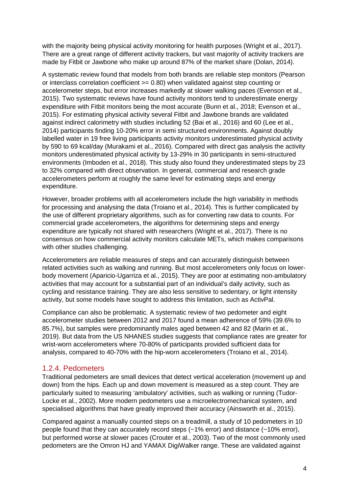with the majority being physical activity monitoring for health purposes (Wright et al., 2017). There are a great range of different activity trackers, but vast majority of activity trackers are made by Fitbit or Jawbone who make up around 87% of the market share (Dolan, 2014).

A systematic review found that models from both brands are reliable step monitors (Pearson or interclass correlation coefficient >= 0.80) when validated against step counting or accelerometer steps, but error increases markedly at slower walking paces (Evenson et al., 2015). Two systematic reviews have found activity monitors tend to underestimate energy expenditure with Fitbit monitors being the most accurate (Bunn et al., 2018; Evenson et al., 2015). For estimating physical activity several Fitbit and Jawbone brands are validated against indirect calorimetry with studies including 52 (Bai et al., 2016) and 60 (Lee et al., 2014) participants finding 10-20% error in semi structured environments. Against doubly labelled water in 19 free living participants activity monitors underestimated physical activity by 590 to 69 kcal/day (Murakami et al., 2016). Compared with direct gas analysis the activity monitors underestimated physical activity by 13-29% in 30 participants in semi-structured environments (Imboden et al., 2018). This study also found they underestimated steps by 23 to 32% compared with direct observation. In general, commercial and research grade accelerometers perform at roughly the same level for estimating steps and energy expenditure.

However, broader problems with all accelerometers include the high variability in methods for processing and analysing the data (Troiano et al., 2014). This is further complicated by the use of different proprietary algorithms, such as for converting raw data to counts. For commercial grade accelerometers, the algorithms for determining steps and energy expenditure are typically not shared with researchers (Wright et al., 2017). There is no consensus on how commercial activity monitors calculate METs, which makes comparisons with other studies challenging.

Accelerometers are reliable measures of steps and can accurately distinguish between related activities such as walking and running. But most accelerometers only focus on lowerbody movement (Aparicio-Ugarriza et al., 2015). They are poor at estimating non-ambulatory activities that may account for a substantial part of an individual's daily activity, such as cycling and resistance training. They are also less sensitive to sedentary, or light intensity activity, but some models have sought to address this limitation, such as ActivPal.

Compliance can also be problematic. A systematic review of two pedometer and eight accelerometer studies between 2012 and 2017 found a mean adherence of 59% (39.6% to 85.7%), but samples were predominantly males aged between 42 and 82 (Marin et al., 2019). But data from the US NHANES studies suggests that compliance rates are greater for wrist-worn accelerometers where 70-80% of participants provided sufficient data for analysis, compared to 40-70% with the hip-worn accelerometers (Troiano et al., 2014).

### 1.2.4. Pedometers

Traditional pedometers are small devices that detect vertical acceleration (movement up and down) from the hips. Each up and down movement is measured as a step count. They are particularly suited to measuring 'ambulatory' activities, such as walking or running (Tudor-Locke et al., 2002). More modern pedometers use a microelectromechanical system, and specialised algorithms that have greatly improved their accuracy (Ainsworth et al., 2015).

Compared against a manually counted steps on a treadmill, a study of 10 pedometers in 10 people found that they can accurately record steps (~1% error) and distance (~10% error), but performed worse at slower paces (Crouter et al., 2003). Two of the most commonly used pedometers are the Omron HJ and YAMAX DigiWalker range. These are validated against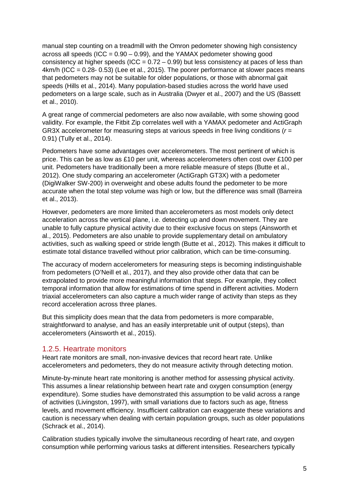manual step counting on a treadmill with the Omron pedometer showing high consistency across all speeds (ICC =  $0.90 - 0.99$ ), and the YAMAX pedometer showing good consistency at higher speeds (ICC =  $0.72 - 0.99$ ) but less consistency at paces of less than 4km/h (ICC = 0.28- 0.53) (Lee et al., 2015). The poorer performance at slower paces means that pedometers may not be suitable for older populations, or those with abnormal gait speeds (Hills et al., 2014). Many population-based studies across the world have used pedometers on a large scale, such as in Australia (Dwyer et al., 2007) and the US (Bassett et al., 2010).

A great range of commercial pedometers are also now available, with some showing good validity. For example, the Fitbit Zip correlates well with a YAMAX pedometer and ActiGraph GR3X accelerometer for measuring steps at various speeds in free living conditions (*r* = 0.91) (Tully et al., 2014).

Pedometers have some advantages over accelerometers. The most pertinent of which is price. This can be as low as £10 per unit, whereas accelerometers often cost over £100 per unit. Pedometers have traditionally been a more reliable measure of steps (Butte et al., 2012). One study comparing an accelerometer (ActiGraph GT3X) with a pedometer (DigiWalker SW-200) in overweight and obese adults found the pedometer to be more accurate when the total step volume was high or low, but the difference was small (Barreira et al., 2013).

However, pedometers are more limited than accelerometers as most models only detect acceleration across the vertical plane, i.e. detecting up and down movement. They are unable to fully capture physical activity due to their exclusive focus on steps (Ainsworth et al., 2015). Pedometers are also unable to provide supplementary detail on ambulatory activities, such as walking speed or stride length (Butte et al., 2012). This makes it difficult to estimate total distance travelled without prior calibration, which can be time-consuming.

The accuracy of modern accelerometers for measuring steps is becoming indistinguishable from pedometers (O'Neill et al., 2017), and they also provide other data that can be extrapolated to provide more meaningful information that steps. For example, they collect temporal information that allow for estimations of time spend in different activities. Modern triaxial accelerometers can also capture a much wider range of activity than steps as they record acceleration across three planes.

But this simplicity does mean that the data from pedometers is more comparable, straightforward to analyse, and has an easily interpretable unit of output (steps), than accelerometers (Ainsworth et al., 2015).

#### 1.2.5. Heartrate monitors

Heart rate monitors are small, non-invasive devices that record heart rate. Unlike accelerometers and pedometers, they do not measure activity through detecting motion.

Minute-by-minute heart rate monitoring is another method for assessing physical activity. This assumes a linear relationship between heart rate and oxygen consumption (energy expenditure). Some studies have demonstrated this assumption to be valid across a range of activities (Livingston, 1997), with small variations due to factors such as age, fitness levels, and movement efficiency. Insufficient calibration can exaggerate these variations and caution is necessary when dealing with certain population groups, such as older populations (Schrack et al., 2014).

Calibration studies typically involve the simultaneous recording of heart rate, and oxygen consumption while performing various tasks at different intensities. Researchers typically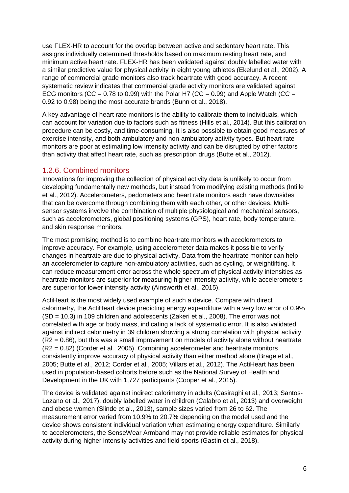use FLEX-HR to account for the overlap between active and sedentary heart rate. This assigns individually determined thresholds based on maximum resting heart rate, and minimum active heart rate. FLEX-HR has been validated against doubly labelled water with a similar predictive value for physical activity in eight young athletes (Ekelund et al., 2002). A range of commercial grade monitors also track heartrate with good accuracy. A recent systematic review indicates that commercial grade activity monitors are validated against ECG monitors (CC = 0.78 to 0.99) with the Polar H7 (CC = 0.99) and Apple Watch (CC = 0.92 to 0.98) being the most accurate brands (Bunn et al., 2018).

A key advantage of heart rate monitors is the ability to calibrate them to individuals, which can account for variation due to factors such as fitness (Hills et al., 2014). But this calibration procedure can be costly, and time-consuming. It is also possible to obtain good measures of exercise intensity, and both ambulatory and non-ambulatory activity types. But heart rate monitors are poor at estimating low intensity activity and can be disrupted by other factors than activity that affect heart rate, such as prescription drugs (Butte et al., 2012).

### 1.2.6. Combined monitors

Innovations for improving the collection of physical activity data is unlikely to occur from developing fundamentally new methods, but instead from modifying existing methods (Intille et al., 2012). Accelerometers, pedometers and heart rate monitors each have downsides that can be overcome through combining them with each other, or other devices. Multisensor systems involve the combination of multiple physiological and mechanical sensors, such as accelerometers, global positioning systems (GPS), heart rate, body temperature, and skin response monitors.

The most promising method is to combine heartrate monitors with accelerometers to improve accuracy. For example, using accelerometer data makes it possible to verify changes in heartrate are due to physical activity. Data from the heartrate monitor can help an accelerometer to capture non-ambulatory activities, such as cycling, or weightlifting. It can reduce measurement error across the whole spectrum of physical activity intensities as heartrate monitors are superior for measuring higher intensity activity, while accelerometers are superior for lower intensity activity (Ainsworth et al., 2015).

ActiHeart is the most widely used example of such a device. Compare with direct calorimetry, the ActiHeart device predicting energy expenditure with a very low error of 0.9% (SD = 10.3) in 109 children and adolescents (Zakeri et al., 2008). The error was not correlated with age or body mass, indicating a lack of systematic error. It is also validated against indirect calorimetry in 39 children showing a strong correlation with physical activity (R2 = 0.86), but this was a small improvement on models of activity alone without heartrate (R2 = 0.82) (Corder et al., 2005). Combining accelerometer and heartrate monitors consistently improve accuracy of physical activity than either method alone (Brage et al., 2005; Butte et al., 2012; Corder et al., 2005; Villars et al., 2012). The ActiHeart has been used in population-based cohorts before such as the National Survey of Health and Development in the UK with 1,727 participants (Cooper et al., 2015).

The device is validated against indirect calorimetry in adults (Casiraghi et al., 2013; Santos-Lozano et al., 2017), doubly labelled water in children (Calabro et al., 2013) and overweight and obese women (Slinde et al., 2013), sample sizes varied from 26 to 62. The measurement error varied from 10.9% to 20.7% depending on the model used and the device shows consistent individual variation when estimating energy expenditure. Similarly to accelerometers, the SenseWear Armband may not provide reliable estimates for physical activity during higher intensity activities and field sports (Gastin et al., 2018).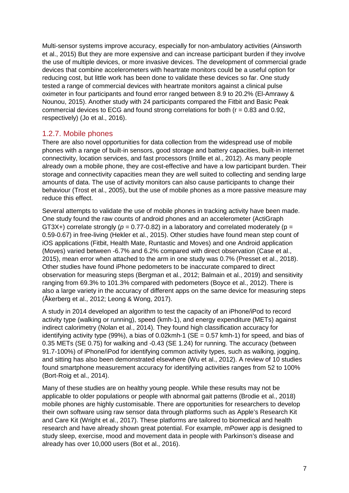Multi-sensor systems improve accuracy, especially for non-ambulatory activities (Ainsworth et al., 2015) But they are more expensive and can increase participant burden if they involve the use of multiple devices, or more invasive devices. The development of commercial grade devices that combine accelerometers with heartrate monitors could be a useful option for reducing cost, but little work has been done to validate these devices so far. One study tested a range of commercial devices with heartrate monitors against a clinical pulse oximeter in four participants and found error ranged between 8.9 to 20.2% (El-Amrawy & Nounou, 2015). Another study with 24 participants compared the Fitbit and Basic Peak commercial devices to ECG and found strong correlations for both (r = 0.83 and 0.92, respectively) (Jo et al., 2016).

#### 1.2.7. Mobile phones

There are also novel opportunities for data collection from the widespread use of mobile phones with a range of built-in sensors, good storage and battery capacities, built-in internet connectivity, location services, and fast processors (Intille et al., 2012). As many people already own a mobile phone, they are cost-effective and have a low participant burden. Their storage and connectivity capacities mean they are well suited to collecting and sending large amounts of data. The use of activity monitors can also cause participants to change their behaviour (Trost et al., 2005), but the use of mobile phones as a more passive measure may reduce this effect.

Several attempts to validate the use of mobile phones in tracking activity have been made. One study found the raw counts of android phones and an accelerometer (ActiGraph GT3X+) correlate strongly ( $p = 0.77$ -0.82) in a laboratory and correlated moderately ( $p =$ 0.59-0.67) in free-living (Hekler et al., 2015). Other studies have found mean step count of iOS applications (Fitbit, Health Mate, Runtastic and Moves) and one Android application (Moves) varied between -6.7% and 6.2% compared with direct observation (Case et al., 2015), mean error when attached to the arm in one study was 0.7% (Presset et al., 2018). Other studies have found iPhone pedometers to be inaccurate compared to direct observation for measuring steps (Bergman et al., 2012; Balmain et al., 2019) and sensitivity ranging from 69.3% to 101.3% compared with pedometers (Boyce et al., 2012). There is also a large variety in the accuracy of different apps on the same device for measuring steps (Åkerberg et al., 2012; Leong & Wong, 2017).

A study in 2014 developed an algorithm to test the capacity of an iPhone/iPod to record activity type (walking or running), speed (kmh-1), and energy expenditure (METs) against indirect calorimetry (Nolan et al., 2014). They found high classification accuracy for identifying activity type (99%), a bias of 0.02kmh-1 ( $SE = 0.57$  kmh-1) for speed, and bias of 0.35 METs (SE 0.75) for walking and -0.43 (SE 1.24) for running. The accuracy (between 91.7-100%) of iPhone/iPod for identifying common activity types, such as walking, jogging, and sitting has also been demonstrated elsewhere (Wu et al., 2012). A review of 10 studies found smartphone measurement accuracy for identifying activities ranges from 52 to 100% (Bort-Roig et al., 2014).

Many of these studies are on healthy young people. While these results may not be applicable to older populations or people with abnormal gait patterns (Brodie et al., 2018) mobile phones are highly customisable. There are opportunities for researchers to develop their own software using raw sensor data through platforms such as Apple's Research Kit and Care Kit (Wright et al., 2017). These platforms are tailored to biomedical and health research and have already shown great potential. For example, mPower app is designed to study sleep, exercise, mood and movement data in people with Parkinson's disease and already has over 10,000 users (Bot et al., 2016).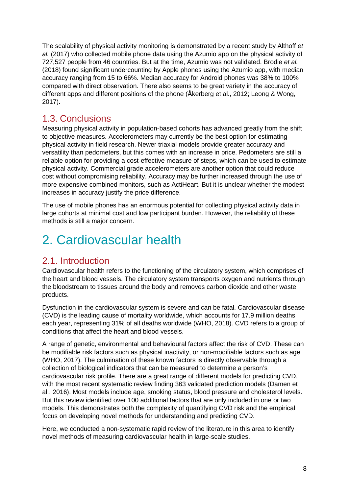The scalability of physical activity monitoring is demonstrated by a recent study by Althoff *et al.* (2017) who collected mobile phone data using the Azumio app on the physical activity of 727,527 people from 46 countries. But at the time, Azumio was not validated. Brodie *et al.* (2018) found significant undercounting by Apple phones using the Azumio app, with median accuracy ranging from 15 to 66%. Median accuracy for Android phones was 38% to 100% compared with direct observation. There also seems to be great variety in the accuracy of different apps and different positions of the phone (Åkerberg et al., 2012; Leong & Wong, 2017).

### 1.3. Conclusions

Measuring physical activity in population-based cohorts has advanced greatly from the shift to objective measures. Accelerometers may currently be the best option for estimating physical activity in field research. Newer triaxial models provide greater accuracy and versatility than pedometers, but this comes with an increase in price. Pedometers are still a reliable option for providing a cost-effective measure of steps, which can be used to estimate physical activity. Commercial grade accelerometers are another option that could reduce cost without compromising reliability. Accuracy may be further increased through the use of more expensive combined monitors, such as ActiHeart. But it is unclear whether the modest increases in accuracy justify the price difference.

The use of mobile phones has an enormous potential for collecting physical activity data in large cohorts at minimal cost and low participant burden. However, the reliability of these methods is still a major concern.

# 2. Cardiovascular health

### 2.1. Introduction

Cardiovascular health refers to the functioning of the circulatory system, which comprises of the heart and blood vessels. The circulatory system transports oxygen and nutrients through the bloodstream to tissues around the body and removes carbon dioxide and other waste products.

Dysfunction in the cardiovascular system is severe and can be fatal. Cardiovascular disease (CVD) is the leading cause of mortality worldwide, which accounts for 17.9 million deaths each year, representing 31% of all deaths worldwide (WHO, 2018). CVD refers to a group of conditions that affect the heart and blood vessels.

A range of genetic, environmental and behavioural factors affect the risk of CVD. These can be modifiable risk factors such as physical inactivity, or non-modifiable factors such as age (WHO, 2017). The culmination of these known factors is directly observable through a collection of biological indicators that can be measured to determine a person's cardiovascular risk profile. There are a great range of different models for predicting CVD, with the most recent systematic review finding 363 validated prediction models (Damen et al., 2016). Most models include age, smoking status, blood pressure and cholesterol levels. But this review identified over 100 additional factors that are only included in one or two models. This demonstrates both the complexity of quantifying CVD risk and the empirical focus on developing novel methods for understanding and predicting CVD.

Here, we conducted a non-systematic rapid review of the literature in this area to identify novel methods of measuring cardiovascular health in large-scale studies.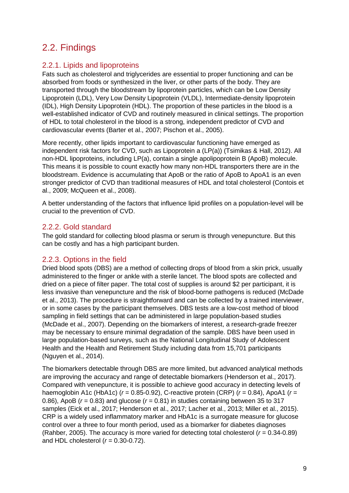### 2.2. Findings

### 2.2.1. Lipids and lipoproteins

Fats such as cholesterol and triglycerides are essential to proper functioning and can be absorbed from foods or synthesized in the liver, or other parts of the body. They are transported through the bloodstream by lipoprotein particles, which can be Low Density Lipoprotein (LDL), Very Low Density Lipoprotein (VLDL), Intermediate-density lipoprotein (IDL), High Density Lipoprotein (HDL). The proportion of these particles in the blood is a well-established indicator of CVD and routinely measured in clinical settings. The proportion of HDL to total cholesterol in the blood is a strong, independent predictor of CVD and cardiovascular events (Barter et al., 2007; Pischon et al., 2005).

More recently, other lipids important to cardiovascular functioning have emerged as independent risk factors for CVD, such as Lipoprotein a (LP(a)) (Tsimikas & Hall, 2012). All non-HDL lipoproteins, including LP(a), contain a single apolipoprotein B (ApoB) molecule. This means it is possible to count exactly how many non-HDL transporters there are in the bloodstream. Evidence is accumulating that ApoB or the ratio of ApoB to ApoA1 is an even stronger predictor of CVD than traditional measures of HDL and total cholesterol (Contois et al., 2009; McQueen et al., 2008).

A better understanding of the factors that influence lipid profiles on a population-level will be crucial to the prevention of CVD.

### 2.2.2. Gold standard

The gold standard for collecting blood plasma or serum is through venepuncture. But this can be costly and has a high participant burden.

### 2.2.3. Options in the field

Dried blood spots (DBS) are a method of collecting drops of blood from a skin prick, usually administered to the finger or ankle with a sterile lancet. The blood spots are collected and dried on a piece of filter paper. The total cost of supplies is around \$2 per participant, it is less invasive than venepuncture and the risk of blood-borne pathogens is reduced (McDade et al., 2013). The procedure is straightforward and can be collected by a trained interviewer, or in some cases by the participant themselves. DBS tests are a low-cost method of blood sampling in field settings that can be administered in large population-based studies (McDade et al., 2007). Depending on the biomarkers of interest, a research-grade freezer may be necessary to ensure minimal degradation of the sample. DBS have been used in large population-based surveys, such as the National Longitudinal Study of Adolescent Health and the Health and Retirement Study including data from 15,701 participants (Nguyen et al., 2014).

The biomarkers detectable through DBS are more limited, but advanced analytical methods are improving the accuracy and range of detectable biomarkers (Henderson et al., 2017). Compared with venepuncture, it is possible to achieve good accuracy in detecting levels of haemoglobin A1c (HbA1c) (*r* = 0.85-0.92), C-reactive protein (CRP) (*r* = 0.84), ApoA1 (*r* = 0.86), ApoB ( $r = 0.83$ ) and glucose ( $r = 0.81$ ) in studies containing between 35 to 317 samples (Eick et al., 2017; Henderson et al., 2017; Lacher et al., 2013; Miller et al., 2015). CRP is a widely used inflammatory marker and HbA1c is a surrogate measure for glucose control over a three to four month period, used as a biomarker for diabetes diagnoses (Rahber, 2005). The accuracy is more varied for detecting total cholesterol (*r* = 0.34-0.89) and HDL cholesterol (*r* = 0.30-0.72).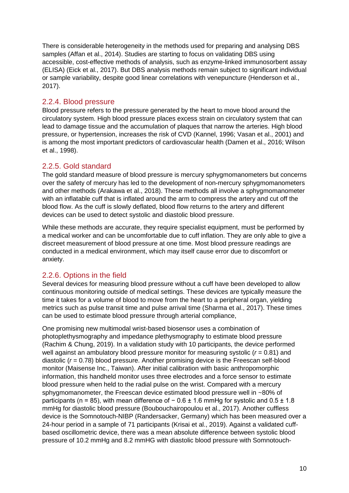There is considerable heterogeneity in the methods used for preparing and analysing DBS samples (Affan et al., 2014). Studies are starting to focus on validating DBS using accessible, cost-effective methods of analysis, such as enzyme-linked immunosorbent assay (ELISA) (Eick et al., 2017). But DBS analysis methods remain subject to significant individual or sample variability, despite good linear correlations with venepuncture (Henderson et al., 2017).

### 2.2.4. Blood pressure

Blood pressure refers to the pressure generated by the heart to move blood around the circulatory system. High blood pressure places excess strain on circulatory system that can lead to damage tissue and the accumulation of plaques that narrow the arteries. High blood pressure, or hypertension, increases the risk of CVD (Kannel, 1996; Vasan et al., 2001) and is among the most important predictors of cardiovascular health (Damen et al., 2016; Wilson et al., 1998).

### 2.2.5. Gold standard

The gold standard measure of blood pressure is mercury sphygmomanometers but concerns over the safety of mercury has led to the development of non-mercury sphygmomanometers and other methods (Arakawa et al., 2018). These methods all involve a sphygmomanometer with an inflatable cuff that is inflated around the arm to compress the artery and cut off the blood flow. As the cuff is slowly deflated, blood flow returns to the artery and different devices can be used to detect systolic and diastolic blood pressure.

While these methods are accurate, they require specialist equipment, must be performed by a medical worker and can be uncomfortable due to cuff inflation. They are only able to give a discreet measurement of blood pressure at one time. Most blood pressure readings are conducted in a medical environment, which may itself cause error due to discomfort or anxiety.

### 2.2.6. Options in the field

Several devices for measuring blood pressure without a cuff have been developed to allow continuous monitoring outside of medical settings. These devices are typically measure the time it takes for a volume of blood to move from the heart to a peripheral organ, yielding metrics such as pulse transit time and pulse arrival time (Sharma et al., 2017). These times can be used to estimate blood pressure through arterial compliance,

One promising new multimodal wrist-based biosensor uses a combination of photoplethysmography and impedance plethysmography to estimate blood pressure (Rachim & Chung, 2019). In a validation study with 10 participants, the device performed well against an ambulatory blood pressure monitor for measuring systolic (*r* = 0.81) and diastolic (*r* = 0.78) blood pressure. Another promising device is the Freescan self-blood monitor (Maisense Inc., Taiwan). After initial calibration with basic anthropomorphic information, this handheld monitor uses three electrodes and a force sensor to estimate blood pressure when held to the radial pulse on the wrist. Compared with a mercury sphygmomanometer, the Freescan device estimated blood pressure well in ~80% of participants (n = 85), with mean difference of  $-0.6 \pm 1.6$  mmHg for systolic and  $0.5 \pm 1.8$ mmHg for diastolic blood pressure (Boubouchairopoulou et al., 2017). Another cuffless device is the Somnotouch-NIBP (Randersacker, Germany) which has been measured over a 24-hour period in a sample of 71 participants (Krisai et al., 2019). Against a validated cuffbased oscillometric device, there was a mean absolute difference between systolic blood pressure of 10.2 mmHg and 8.2 mmHG with diastolic blood pressure with Somnotouch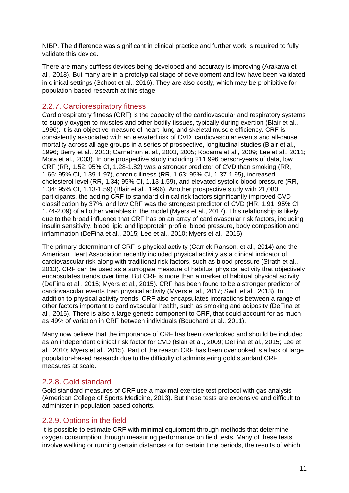NIBP. The difference was significant in clinical practice and further work is required to fully validate this device.

There are many cuffless devices being developed and accuracy is improving (Arakawa et al., 2018). But many are in a prototypical stage of development and few have been validated in clinical settings (Schoot et al., 2016). They are also costly, which may be prohibitive for population-based research at this stage.

### 2.2.7. Cardiorespiratory fitness

Cardiorespiratory fitness (CRF) is the capacity of the cardiovascular and respiratory systems to supply oxygen to muscles and other bodily tissues, typically during exertion (Blair et al., 1996). It is an objective measure of heart, lung and skeletal muscle efficiency. CRF is consistently associated with an elevated risk of CVD, cardiovascular events and all-cause mortality across all age groups in a series of prospective, longitudinal studies (Blair et al., 1996; Berry et al., 2013; Carnethon et al., 2003, 2005; Kodama et al., 2009; Lee et al., 2011; Mora et al., 2003). In one prospective study including 211,996 person-years of data, low CRF (RR, 1.52; 95% CI, 1.28-1.82) was a stronger predictor of CVD than smoking (RR, 1.65; 95% CI, 1.39-1.97), chronic illness (RR, 1.63; 95% CI, 1.37-1.95), increased cholesterol level (RR, 1.34; 95% CI, 1.13-1.59), and elevated systolic blood pressure (RR, 1.34; 95% CI, 1.13-1.59) (Blair et al., 1996). Another prospective study with 21,080 participants, the adding CRF to standard clinical risk factors significantly improved CVD classification by 37%, and low CRF was the strongest predictor of CVD (HR, 1.91; 95% CI 1.74-2.09) of all other variables in the model (Myers et al., 2017). This relationship is likely due to the broad influence that CRF has on an array of cardiovascular risk factors, including insulin sensitivity, blood lipid and lipoprotein profile, blood pressure, body composition and inflammation (DeFina et al., 2015; Lee et al., 2010; Myers et al., 2015).

The primary determinant of CRF is physical activity (Carrick-Ranson, et al., 2014) and the American Heart Association recently included physical activity as a clinical indicator of cardiovascular risk along with traditional risk factors, such as blood pressure (Strath et al., 2013). CRF can be used as a surrogate measure of habitual physical activity that objectively encapsulates trends over time. But CRF is more than a marker of habitual physical activity (DeFina et al., 2015; Myers et al., 2015). CRF has been found to be a stronger predictor of cardiovascular events than physical activity (Myers et al., 2017; Swift et al., 2013). In addition to physical activity trends, CRF also encapsulates interactions between a range of other factors important to cardiovascular health, such as smoking and adiposity (DeFina et al., 2015). There is also a large genetic component to CRF, that could account for as much as 49% of variation in CRF between individuals (Bouchard et al., 2011).

Many now believe that the importance of CRF has been overlooked and should be included as an independent clinical risk factor for CVD (Blair et al., 2009; DeFina et al., 2015; Lee et al., 2010; Myers et al., 2015). Part of the reason CRF has been overlooked is a lack of large population-based research due to the difficulty of administering gold standard CRF measures at scale.

### 2.2.8. Gold standard

Gold standard measures of CRF use a maximal exercise test protocol with gas analysis (American College of Sports Medicine, 2013). But these tests are expensive and difficult to administer in population-based cohorts.

### 2.2.9. Options in the field

It is possible to estimate CRF with minimal equipment through methods that determine oxygen consumption through measuring performance on field tests. Many of these tests involve walking or running certain distances or for certain time periods, the results of which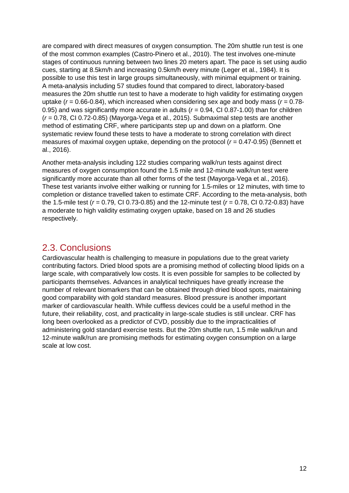are compared with direct measures of oxygen consumption. The 20m shuttle run test is one of the most common examples (Castro-Pinero et al., 2010). The test involves one-minute stages of continuous running between two lines 20 meters apart. The pace is set using audio cues, starting at 8.5km/h and increasing 0.5km/h every minute (Leger et al., 1984). It is possible to use this test in large groups simultaneously, with minimal equipment or training. A meta-analysis including 57 studies found that compared to direct, laboratory-based measures the 20m shuttle run test to have a moderate to high validity for estimating oxygen uptake (*r* = 0.66-0.84), which increased when considering sex age and body mass (*r* = 0.78- 0.95) and was significantly more accurate in adults (*r* = 0.94, CI 0.87-1.00) than for children (*r* = 0.78, CI 0.72-0.85) (Mayorga-Vega et al., 2015). Submaximal step tests are another method of estimating CRF, where participants step up and down on a platform. One systematic review found these tests to have a moderate to strong correlation with direct measures of maximal oxygen uptake, depending on the protocol (*r* = 0.47-0.95) (Bennett et al., 2016).

Another meta-analysis including 122 studies comparing walk/run tests against direct measures of oxygen consumption found the 1.5 mile and 12-minute walk/run test were significantly more accurate than all other forms of the test (Mayorga-Vega et al., 2016). These test variants involve either walking or running for 1.5-miles or 12 minutes, with time to completion or distance travelled taken to estimate CRF. According to the meta-analysis, both the 1.5-mile test (*r* = 0.79, CI 0.73-0.85) and the 12-minute test (*r* = 0.78, CI 0.72-0.83) have a moderate to high validity estimating oxygen uptake, based on 18 and 26 studies respectively.

### 2.3. Conclusions

Cardiovascular health is challenging to measure in populations due to the great variety contributing factors. Dried blood spots are a promising method of collecting blood lipids on a large scale, with comparatively low costs. It is even possible for samples to be collected by participants themselves. Advances in analytical techniques have greatly increase the number of relevant biomarkers that can be obtained through dried blood spots, maintaining good comparability with gold standard measures. Blood pressure is another important marker of cardiovascular health. While cuffless devices could be a useful method in the future, their reliability, cost, and practicality in large-scale studies is still unclear. CRF has long been overlooked as a predictor of CVD, possibly due to the impracticalities of administering gold standard exercise tests. But the 20m shuttle run, 1.5 mile walk/run and 12-minute walk/run are promising methods for estimating oxygen consumption on a large scale at low cost.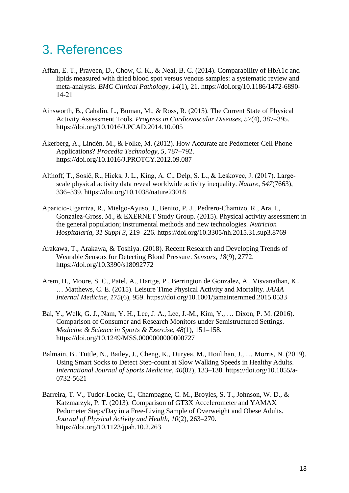# 3. References

- Affan, E. T., Praveen, D., Chow, C. K., & Neal, B. C. (2014). Comparability of HbA1c and lipids measured with dried blood spot versus venous samples: a systematic review and meta-analysis. *BMC Clinical Pathology*, *14*(1), 21. https://doi.org/10.1186/1472-6890- 14-21
- Ainsworth, B., Cahalin, L., Buman, M., & Ross, R. (2015). The Current State of Physical Activity Assessment Tools. *Progress in Cardiovascular Diseases*, *57*(4), 387–395. https://doi.org/10.1016/J.PCAD.2014.10.005
- Åkerberg, A., Lindén, M., & Folke, M. (2012). How Accurate are Pedometer Cell Phone Applications? *Procedia Technology*, *5*, 787–792. https://doi.org/10.1016/J.PROTCY.2012.09.087
- Althoff, T., Sosič, R., Hicks, J. L., King, A. C., Delp, S. L., & Leskovec, J. (2017). Largescale physical activity data reveal worldwide activity inequality. *Nature*, *547*(7663), 336–339. https://doi.org/10.1038/nature23018
- Aparicio-Ugarriza, R., Mielgo-Ayuso, J., Benito, P. J., Pedrero-Chamizo, R., Ara, I., González-Gross, M., & EXERNET Study Group. (2015). Physical activity assessment in the general population; instrumental methods and new technologies. *Nutricion Hospitalaria*, *31 Suppl 3*, 219–226. https://doi.org/10.3305/nh.2015.31.sup3.8769
- Arakawa, T., Arakawa, & Toshiya. (2018). Recent Research and Developing Trends of Wearable Sensors for Detecting Blood Pressure. *Sensors*, *18*(9), 2772. https://doi.org/10.3390/s18092772
- Arem, H., Moore, S. C., Patel, A., Hartge, P., Berrington de Gonzalez, A., Visvanathan, K., … Matthews, C. E. (2015). Leisure Time Physical Activity and Mortality. *JAMA Internal Medicine*, *175*(6), 959. https://doi.org/10.1001/jamainternmed.2015.0533
- Bai, Y., Welk, G. J., Nam, Y. H., Lee, J. A., Lee, J.-M., Kim, Y., … Dixon, P. M. (2016). Comparison of Consumer and Research Monitors under Semistructured Settings. *Medicine & Science in Sports & Exercise*, *48*(1), 151–158. https://doi.org/10.1249/MSS.0000000000000727
- Balmain, B., Tuttle, N., Bailey, J., Cheng, K., Duryea, M., Houlihan, J., … Morris, N. (2019). Using Smart Socks to Detect Step-count at Slow Walking Speeds in Healthy Adults. *International Journal of Sports Medicine*, *40*(02), 133–138. https://doi.org/10.1055/a-0732-5621
- Barreira, T. V., Tudor-Locke, C., Champagne, C. M., Broyles, S. T., Johnson, W. D., & Katzmarzyk, P. T. (2013). Comparison of GT3X Accelerometer and YAMAX Pedometer Steps/Day in a Free-Living Sample of Overweight and Obese Adults. *Journal of Physical Activity and Health*, *10*(2), 263–270. https://doi.org/10.1123/jpah.10.2.263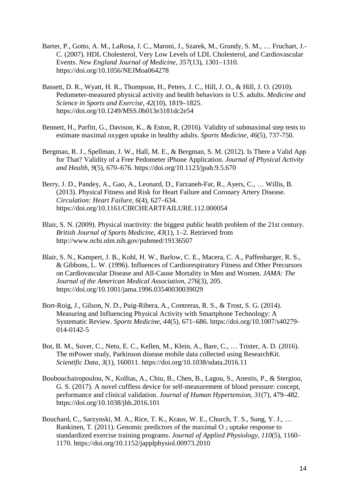- Barter, P., Gotto, A. M., LaRosa, J. C., Maroni, J., Szarek, M., Grundy, S. M., … Fruchart, J.- C. (2007). HDL Cholesterol, Very Low Levels of LDL Cholesterol, and Cardiovascular Events. *New England Journal of Medicine*, *357*(13), 1301–1310. https://doi.org/10.1056/NEJMoa064278
- Bassett, D. R., Wyatt, H. R., Thompson, H., Peters, J. C., Hill, J. O., & Hill, J. O. (2010). Pedometer-measured physical activity and health behaviors in U.S. adults. *Medicine and Science in Sports and Exercise*, *42*(10), 1819–1825. https://doi.org/10.1249/MSS.0b013e3181dc2e54
- Bennett, H., Parfitt, G., Davison, K., & Eston, R. (2016). Validity of submaximal step tests to estimate maximal oxygen uptake in healthy adults. *Sports Medicine*, *46*(5), 737-750.
- Bergman, R. J., Spellman, J. W., Hall, M. E., & Bergman, S. M. (2012). Is There a Valid App for That? Validity of a Free Pedometer iPhone Application. *Journal of Physical Activity and Health*, *9*(5), 670–676. https://doi.org/10.1123/jpah.9.5.670
- Berry, J. D., Pandey, A., Gao, A., Leonard, D., Farzaneh-Far, R., Ayers, C., … Willis, B. (2013). Physical Fitness and Risk for Heart Failure and Coronary Artery Disease. *Circulation: Heart Failure*, *6*(4), 627–634. https://doi.org/10.1161/CIRCHEARTFAILURE.112.000054
- Blair, S. N. (2009). Physical inactivity: the biggest public health problem of the 21st century. *British Journal of Sports Medicine*, *43*(1), 1–2. Retrieved from http://www.ncbi.nlm.nih.gov/pubmed/19136507
- Blair, S. N., Kampert, J. B., Kohl, H. W., Barlow, C. E., Macera, C. A., Paffenbarger, R. S., & Gibbons, L. W. (1996). Influences of Cardiorespiratory Fitness and Other Precursors on Cardiovascular Disease and All-Cause Mortality in Men and Women. *JAMA: The Journal of the American Medical Association*, *276*(3), 205. https://doi.org/10.1001/jama.1996.03540030039029
- Bort-Roig, J., Gilson, N. D., Puig-Ribera, A., Contreras, R. S., & Trost, S. G. (2014). Measuring and Influencing Physical Activity with Smartphone Technology: A Systematic Review. *Sports Medicine*, *44*(5), 671–686. https://doi.org/10.1007/s40279- 014-0142-5
- Bot, B. M., Suver, C., Neto, E. C., Kellen, M., Klein, A., Bare, C., … Trister, A. D. (2016). The mPower study, Parkinson disease mobile data collected using ResearchKit. *Scientific Data*, *3*(1), 160011. https://doi.org/10.1038/sdata.2016.11
- Boubouchairopoulou, N., Kollias, A., Chiu, B., Chen, B., Lagou, S., Anestis, P., & Stergiou, G. S. (2017). A novel cuffless device for self-measurement of blood pressure: concept, performance and clinical validation. *Journal of Human Hypertension*, *31*(7), 479–482. https://doi.org/10.1038/jhh.2016.101
- Bouchard, C., Sarzynski, M. A., Rice, T. K., Kraus, W. E., Church, T. S., Sung, Y. J., … Rankinen, T. (2011). Genomic predictors of the maximal O  $_2$  uptake response to standardized exercise training programs. *Journal of Applied Physiology*, *110*(5), 1160– 1170. https://doi.org/10.1152/japplphysiol.00973.2010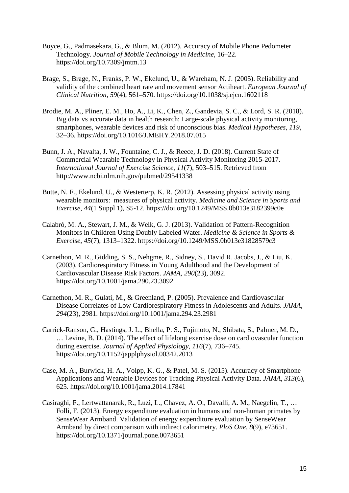- Boyce, G., Padmasekara, G., & Blum, M. (2012). Accuracy of Mobile Phone Pedometer Technology. *Journal of Mobile Technology in Medicine*, 16–22. https://doi.org/10.7309/jmtm.13
- Brage, S., Brage, N., Franks, P. W., Ekelund, U., & Wareham, N. J. (2005). Reliability and validity of the combined heart rate and movement sensor Actiheart. *European Journal of Clinical Nutrition*, *59*(4), 561–570. https://doi.org/10.1038/sj.ejcn.1602118
- Brodie, M. A., Pliner, E. M., Ho, A., Li, K., Chen, Z., Gandevia, S. C., & Lord, S. R. (2018). Big data vs accurate data in health research: Large-scale physical activity monitoring, smartphones, wearable devices and risk of unconscious bias. *Medical Hypotheses*, *119*, 32–36. https://doi.org/10.1016/J.MEHY.2018.07.015
- Bunn, J. A., Navalta, J. W., Fountaine, C. J., & Reece, J. D. (2018). Current State of Commercial Wearable Technology in Physical Activity Monitoring 2015-2017. *International Journal of Exercise Science*, *11*(7), 503–515. Retrieved from http://www.ncbi.nlm.nih.gov/pubmed/29541338
- Butte, N. F., Ekelund, U., & Westerterp, K. R. (2012). Assessing physical activity using wearable monitors: measures of physical activity. *Medicine and Science in Sports and Exercise*, *44*(1 Suppl 1), S5-12. https://doi.org/10.1249/MSS.0b013e3182399c0e
- Calabró, M. A., Stewart, J. M., & Welk, G. J. (2013). Validation of Pattern-Recognition Monitors in Children Using Doubly Labeled Water. *Medicine & Science in Sports & Exercise*, *45*(7), 1313–1322. https://doi.org/10.1249/MSS.0b013e31828579c3
- Carnethon, M. R., Gidding, S. S., Nehgme, R., Sidney, S., David R. Jacobs, J., & Liu, K. (2003). Cardiorespiratory Fitness in Young Adulthood and the Development of Cardiovascular Disease Risk Factors. *JAMA*, *290*(23), 3092. https://doi.org/10.1001/jama.290.23.3092
- Carnethon, M. R., Gulati, M., & Greenland, P. (2005). Prevalence and Cardiovascular Disease Correlates of Low Cardiorespiratory Fitness in Adolescents and Adults. *JAMA*, *294*(23), 2981. https://doi.org/10.1001/jama.294.23.2981
- Carrick-Ranson, G., Hastings, J. L., Bhella, P. S., Fujimoto, N., Shibata, S., Palmer, M. D., … Levine, B. D. (2014). The effect of lifelong exercise dose on cardiovascular function during exercise. *Journal of Applied Physiology*, *116*(7), 736–745. https://doi.org/10.1152/japplphysiol.00342.2013
- Case, M. A., Burwick, H. A., Volpp, K. G., & Patel, M. S. (2015). Accuracy of Smartphone Applications and Wearable Devices for Tracking Physical Activity Data. *JAMA*, *313*(6), 625. https://doi.org/10.1001/jama.2014.17841
- Casiraghi, F., Lertwattanarak, R., Luzi, L., Chavez, A. O., Davalli, A. M., Naegelin, T., … Folli, F. (2013). Energy expenditure evaluation in humans and non-human primates by SenseWear Armband. Validation of energy expenditure evaluation by SenseWear Armband by direct comparison with indirect calorimetry. *PloS One*, *8*(9), e73651. https://doi.org/10.1371/journal.pone.0073651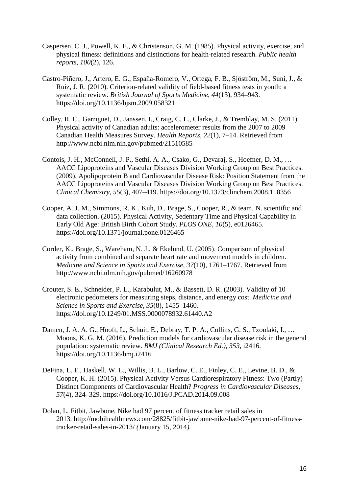- Caspersen, C. J., Powell, K. E., & Christenson, G. M. (1985). Physical activity, exercise, and physical fitness: definitions and distinctions for health-related research. *Public health reports*, *100*(2), 126.
- Castro-Piñero, J., Artero, E. G., España-Romero, V., Ortega, F. B., Sjöström, M., Suni, J., & Ruiz, J. R. (2010). Criterion-related validity of field-based fitness tests in youth: a systematic review. *British Journal of Sports Medicine*, *44*(13), 934–943. https://doi.org/10.1136/bjsm.2009.058321
- Colley, R. C., Garriguet, D., Janssen, I., Craig, C. L., Clarke, J., & Tremblay, M. S. (2011). Physical activity of Canadian adults: accelerometer results from the 2007 to 2009 Canadian Health Measures Survey. *Health Reports*, *22*(1), 7–14. Retrieved from http://www.ncbi.nlm.nih.gov/pubmed/21510585
- Contois, J. H., McConnell, J. P., Sethi, A. A., Csako, G., Devaraj, S., Hoefner, D. M., … AACC Lipoproteins and Vascular Diseases Division Working Group on Best Practices. (2009). Apolipoprotein B and Cardiovascular Disease Risk: Position Statement from the AACC Lipoproteins and Vascular Diseases Division Working Group on Best Practices. *Clinical Chemistry*, *55*(3), 407–419. https://doi.org/10.1373/clinchem.2008.118356
- Cooper, A. J. M., Simmons, R. K., Kuh, D., Brage, S., Cooper, R., & team, N. scientific and data collection. (2015). Physical Activity, Sedentary Time and Physical Capability in Early Old Age: British Birth Cohort Study. *PLOS ONE*, *10*(5), e0126465. https://doi.org/10.1371/journal.pone.0126465
- Corder, K., Brage, S., Wareham, N. J., & Ekelund, U. (2005). Comparison of physical activity from combined and separate heart rate and movement models in children. *Medicine and Science in Sports and Exercise*, *37*(10), 1761–1767. Retrieved from http://www.ncbi.nlm.nih.gov/pubmed/16260978
- Crouter, S. E., Schneider, P. L., Karabulut, M., & Bassett, D. R. (2003). Validity of 10 electronic pedometers for measuring steps, distance, and energy cost. *Medicine and Science in Sports and Exercise*, *35*(8), 1455–1460. https://doi.org/10.1249/01.MSS.0000078932.61440.A2
- Damen, J. A. A. G., Hooft, L., Schuit, E., Debray, T. P. A., Collins, G. S., Tzoulaki, I., … Moons, K. G. M. (2016). Prediction models for cardiovascular disease risk in the general population: systematic review. *BMJ (Clinical Research Ed.)*, *353*, i2416. https://doi.org/10.1136/bmj.i2416
- DeFina, L. F., Haskell, W. L., Willis, B. L., Barlow, C. E., Finley, C. E., Levine, B. D., & Cooper, K. H. (2015). Physical Activity Versus Cardiorespiratory Fitness: Two (Partly) Distinct Components of Cardiovascular Health? *Progress in Cardiovascular Diseases*, *57*(4), 324–329. https://doi.org/10.1016/J.PCAD.2014.09.008
- Dolan, L. Fitbit, Jawbone, Nike had 97 percent of fitness tracker retail sales in 2013*.* http://mobihealthnews.com/28825/fitbit-jawbone-nike-had-97-percent-of-fitnesstracker-retail-sales-in-2013/ *(*January 15, 2014*).*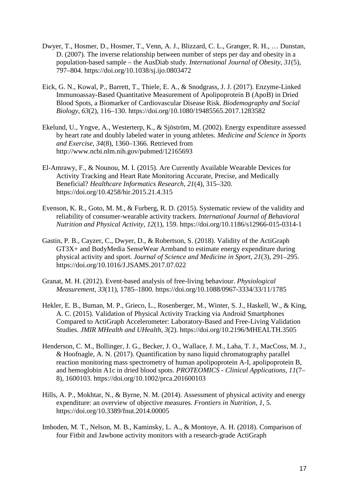- Dwyer, T., Hosmer, D., Hosmer, T., Venn, A. J., Blizzard, C. L., Granger, R. H., … Dunstan, D. (2007). The inverse relationship between number of steps per day and obesity in a population-based sample – the AusDiab study. *International Journal of Obesity*, *31*(5), 797–804. https://doi.org/10.1038/sj.ijo.0803472
- Eick, G. N., Kowal, P., Barrett, T., Thiele, E. A., & Snodgrass, J. J. (2017). Enzyme-Linked Immunoassay-Based Quantitative Measurement of Apolipoprotein B (ApoB) in Dried Blood Spots, a Biomarker of Cardiovascular Disease Risk. *Biodemography and Social Biology*, *63*(2), 116–130. https://doi.org/10.1080/19485565.2017.1283582
- Ekelund, U., Yngve, A., Westerterp, K., & Sjöström, M. (2002). Energy expenditure assessed by heart rate and doubly labeled water in young athletes. *Medicine and Science in Sports and Exercise*, *34*(8), 1360–1366. Retrieved from http://www.ncbi.nlm.nih.gov/pubmed/12165693
- El-Amrawy, F., & Nounou, M. I. (2015). Are Currently Available Wearable Devices for Activity Tracking and Heart Rate Monitoring Accurate, Precise, and Medically Beneficial? *Healthcare Informatics Research*, *21*(4), 315–320. https://doi.org/10.4258/hir.2015.21.4.315
- Evenson, K. R., Goto, M. M., & Furberg, R. D. (2015). Systematic review of the validity and reliability of consumer-wearable activity trackers. *International Journal of Behavioral Nutrition and Physical Activity*, *12*(1), 159. https://doi.org/10.1186/s12966-015-0314-1
- Gastin, P. B., Cayzer, C., Dwyer, D., & Robertson, S. (2018). Validity of the ActiGraph GT3X+ and BodyMedia SenseWear Armband to estimate energy expenditure during physical activity and sport. *Journal of Science and Medicine in Sport*, *21*(3), 291–295. https://doi.org/10.1016/J.JSAMS.2017.07.022
- Granat, M. H. (2012). Event-based analysis of free-living behaviour. *Physiological Measurement*, *33*(11), 1785–1800. https://doi.org/10.1088/0967-3334/33/11/1785
- Hekler, E. B., Buman, M. P., Grieco, L., Rosenberger, M., Winter, S. J., Haskell, W., & King, A. C. (2015). Validation of Physical Activity Tracking via Android Smartphones Compared to ActiGraph Accelerometer: Laboratory-Based and Free-Living Validation Studies. *JMIR MHealth and UHealth*, *3*(2). https://doi.org/10.2196/MHEALTH.3505
- Henderson, C. M., Bollinger, J. G., Becker, J. O., Wallace, J. M., Laha, T. J., MacCoss, M. J., & Hoofnagle, A. N. (2017). Quantification by nano liquid chromatography parallel reaction monitoring mass spectrometry of human apolipoprotein A-I, apolipoprotein B, and hemoglobin A1c in dried blood spots. *PROTEOMICS - Clinical Applications*, *11*(7– 8), 1600103. https://doi.org/10.1002/prca.201600103
- Hills, A. P., Mokhtar, N., & Byrne, N. M. (2014). Assessment of physical activity and energy expenditure: an overview of objective measures. *Frontiers in Nutrition*, *1*, 5. https://doi.org/10.3389/fnut.2014.00005
- Imboden, M. T., Nelson, M. B., Kaminsky, L. A., & Montoye, A. H. (2018). Comparison of four Fitbit and Jawbone activity monitors with a research-grade ActiGraph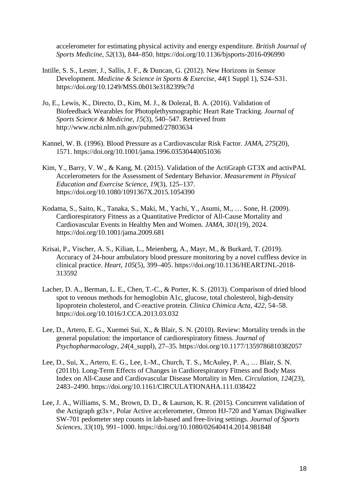accelerometer for estimating physical activity and energy expenditure. *British Journal of Sports Medicine*, *52*(13), 844–850. https://doi.org/10.1136/bjsports-2016-096990

- Intille, S. S., Lester, J., Sallis, J. F., & Duncan, G. (2012). New Horizons in Sensor Development. *Medicine & Science in Sports & Exercise*, *44*(1 Suppl 1), S24–S31. https://doi.org/10.1249/MSS.0b013e3182399c7d
- Jo, E., Lewis, K., Directo, D., Kim, M. J., & Dolezal, B. A. (2016). Validation of Biofeedback Wearables for Photoplethysmographic Heart Rate Tracking. *Journal of Sports Science & Medicine*, *15*(3), 540–547. Retrieved from http://www.ncbi.nlm.nih.gov/pubmed/27803634
- Kannel, W. B. (1996). Blood Pressure as a Cardiovascular Risk Factor. *JAMA*, *275*(20), 1571. https://doi.org/10.1001/jama.1996.03530440051036
- Kim, Y., Barry, V. W., & Kang, M. (2015). Validation of the ActiGraph GT3X and activPAL Accelerometers for the Assessment of Sedentary Behavior. *Measurement in Physical Education and Exercise Science*, *19*(3), 125–137. https://doi.org/10.1080/1091367X.2015.1054390
- Kodama, S., Saito, K., Tanaka, S., Maki, M., Yachi, Y., Asumi, M., … Sone, H. (2009). Cardiorespiratory Fitness as a Quantitative Predictor of All-Cause Mortality and Cardiovascular Events in Healthy Men and Women. *JAMA*, *301*(19), 2024. https://doi.org/10.1001/jama.2009.681
- Krisai, P., Vischer, A. S., Kilian, L., Meienberg, A., Mayr, M., & Burkard, T. (2019). Accuracy of 24-hour ambulatory blood pressure monitoring by a novel cuffless device in clinical practice. *Heart*, *105*(5), 399–405. https://doi.org/10.1136/HEARTJNL-2018- 313592
- Lacher, D. A., Berman, L. E., Chen, T.-C., & Porter, K. S. (2013). Comparison of dried blood spot to venous methods for hemoglobin A1c, glucose, total cholesterol, high-density lipoprotein cholesterol, and C-reactive protein. *Clinica Chimica Acta*, *422*, 54–58. https://doi.org/10.1016/J.CCA.2013.03.032
- Lee, D., Artero, E. G., Xuemei Sui, X., & Blair, S. N. (2010). Review: Mortality trends in the general population: the importance of cardiorespiratory fitness. *Journal of Psychopharmacology*, *24*(4\_suppl), 27–35. https://doi.org/10.1177/1359786810382057
- Lee, D., Sui, X., Artero, E. G., Lee, I.-M., Church, T. S., McAuley, P. A., … Blair, S. N. (2011b). Long-Term Effects of Changes in Cardiorespiratory Fitness and Body Mass Index on All-Cause and Cardiovascular Disease Mortality in Men. *Circulation*, *124*(23), 2483–2490. https://doi.org/10.1161/CIRCULATIONAHA.111.038422
- Lee, J. A., Williams, S. M., Brown, D. D., & Laurson, K. R. (2015). Concurrent validation of the Actigraph gt3x+, Polar Active accelerometer, Omron HJ-720 and Yamax Digiwalker SW-701 pedometer step counts in lab-based and free-living settings. *Journal of Sports Sciences*, *33*(10), 991–1000. https://doi.org/10.1080/02640414.2014.981848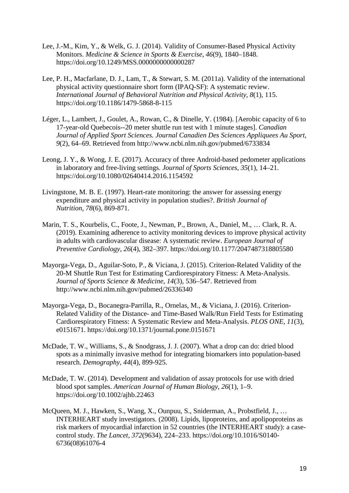- Lee, J.-M., Kim, Y., & Welk, G. J. (2014). Validity of Consumer-Based Physical Activity Monitors. *Medicine & Science in Sports & Exercise*, *46*(9), 1840–1848. https://doi.org/10.1249/MSS.0000000000000287
- Lee, P. H., Macfarlane, D. J., Lam, T., & Stewart, S. M. (2011a). Validity of the international physical activity questionnaire short form (IPAQ-SF): A systematic review. *International Journal of Behavioral Nutrition and Physical Activity*, *8*(1), 115. https://doi.org/10.1186/1479-5868-8-115
- Léger, L., Lambert, J., Goulet, A., Rowan, C., & Dinelle, Y. (1984). [Aerobic capacity of 6 to 17-year-old Quebecois--20 meter shuttle run test with 1 minute stages]. *Canadian Journal of Applied Sport Sciences. Journal Canadien Des Sciences Appliquees Au Sport*, *9*(2), 64–69. Retrieved from http://www.ncbi.nlm.nih.gov/pubmed/6733834
- Leong, J. Y., & Wong, J. E. (2017). Accuracy of three Android-based pedometer applications in laboratory and free-living settings. *Journal of Sports Sciences*, *35*(1), 14–21. https://doi.org/10.1080/02640414.2016.1154592
- Livingstone, M. B. E. (1997). Heart-rate monitoring: the answer for assessing energy expenditure and physical activity in population studies?. *British Journal of Nutrition*, *78*(6), 869-871.
- Marin, T. S., Kourbelis, C., Foote, J., Newman, P., Brown, A., Daniel, M., … Clark, R. A. (2019). Examining adherence to activity monitoring devices to improve physical activity in adults with cardiovascular disease: A systematic review. *European Journal of Preventive Cardiology*, *26*(4), 382–397. https://doi.org/10.1177/2047487318805580
- Mayorga-Vega, D., Aguilar-Soto, P., & Viciana, J. (2015). Criterion-Related Validity of the 20-M Shuttle Run Test for Estimating Cardiorespiratory Fitness: A Meta-Analysis. *Journal of Sports Science & Medicine*, *14*(3), 536–547. Retrieved from http://www.ncbi.nlm.nih.gov/pubmed/26336340
- Mayorga-Vega, D., Bocanegra-Parrilla, R., Ornelas, M., & Viciana, J. (2016). Criterion-Related Validity of the Distance- and Time-Based Walk/Run Field Tests for Estimating Cardiorespiratory Fitness: A Systematic Review and Meta-Analysis. *PLOS ONE*, *11*(3), e0151671. https://doi.org/10.1371/journal.pone.0151671
- McDade, T. W., Williams, S., & Snodgrass, J. J. (2007). What a drop can do: dried blood spots as a minimally invasive method for integrating biomarkers into population-based research. *Demography*, *44*(4), 899-925.
- McDade, T. W. (2014). Development and validation of assay protocols for use with dried blood spot samples. *American Journal of Human Biology*, *26*(1), 1–9. https://doi.org/10.1002/ajhb.22463
- McQueen, M. J., Hawken, S., Wang, X., Ounpuu, S., Sniderman, A., Probstfield, J., … INTERHEART study investigators. (2008). Lipids, lipoproteins, and apolipoproteins as risk markers of myocardial infarction in 52 countries (the INTERHEART study): a casecontrol study. *The Lancet*, *372*(9634), 224–233. https://doi.org/10.1016/S0140- 6736(08)61076-4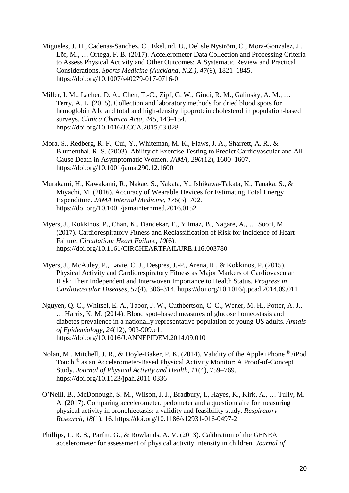- Migueles, J. H., Cadenas-Sanchez, C., Ekelund, U., Delisle Nyström, C., Mora-Gonzalez, J., Löf, M., … Ortega, F. B. (2017). Accelerometer Data Collection and Processing Criteria to Assess Physical Activity and Other Outcomes: A Systematic Review and Practical Considerations. *Sports Medicine (Auckland, N.Z.)*, *47*(9), 1821–1845. https://doi.org/10.1007/s40279-017-0716-0
- Miller, I. M., Lacher, D. A., Chen, T.-C., Zipf, G. W., Gindi, R. M., Galinsky, A. M., … Terry, A. L. (2015). Collection and laboratory methods for dried blood spots for hemoglobin A1c and total and high-density lipoprotein cholesterol in population-based surveys. *Clinica Chimica Acta*, *445*, 143–154. https://doi.org/10.1016/J.CCA.2015.03.028
- Mora, S., Redberg, R. F., Cui, Y., Whiteman, M. K., Flaws, J. A., Sharrett, A. R., & Blumenthal, R. S. (2003). Ability of Exercise Testing to Predict Cardiovascular and All-Cause Death in Asymptomatic Women. *JAMA*, *290*(12), 1600–1607. https://doi.org/10.1001/jama.290.12.1600
- Murakami, H., Kawakami, R., Nakae, S., Nakata, Y., Ishikawa-Takata, K., Tanaka, S., & Miyachi, M. (2016). Accuracy of Wearable Devices for Estimating Total Energy Expenditure. *JAMA Internal Medicine*, *176*(5), 702. https://doi.org/10.1001/jamainternmed.2016.0152
- Myers, J., Kokkinos, P., Chan, K., Dandekar, E., Yilmaz, B., Nagare, A., … Soofi, M. (2017). Cardiorespiratory Fitness and Reclassification of Risk for Incidence of Heart Failure. *Circulation: Heart Failure*, *10*(6). https://doi.org/10.1161/CIRCHEARTFAILURE.116.003780
- Myers, J., McAuley, P., Lavie, C. J., Despres, J.-P., Arena, R., & Kokkinos, P. (2015). Physical Activity and Cardiorespiratory Fitness as Major Markers of Cardiovascular Risk: Their Independent and Interwoven Importance to Health Status. *Progress in Cardiovascular Diseases*, *57*(4), 306–314. https://doi.org/10.1016/j.pcad.2014.09.011
- Nguyen, Q. C., Whitsel, E. A., Tabor, J. W., Cuthbertson, C. C., Wener, M. H., Potter, A. J., … Harris, K. M. (2014). Blood spot–based measures of glucose homeostasis and diabetes prevalence in a nationally representative population of young US adults. *Annals of Epidemiology*, *24*(12), 903-909.e1. https://doi.org/10.1016/J.ANNEPIDEM.2014.09.010
- Nolan, M., Mitchell, J. R., & Doyle-Baker, P. K. (2014). Validity of the Apple iPhone ® /iPod Touch ® as an Accelerometer-Based Physical Activity Monitor: A Proof-of-Concept Study. *Journal of Physical Activity and Health*, *11*(4), 759–769. https://doi.org/10.1123/jpah.2011-0336
- O'Neill, B., McDonough, S. M., Wilson, J. J., Bradbury, I., Hayes, K., Kirk, A., … Tully, M. A. (2017). Comparing accelerometer, pedometer and a questionnaire for measuring physical activity in bronchiectasis: a validity and feasibility study. *Respiratory Research*, *18*(1), 16. https://doi.org/10.1186/s12931-016-0497-2
- Phillips, L. R. S., Parfitt, G., & Rowlands, A. V. (2013). Calibration of the GENEA accelerometer for assessment of physical activity intensity in children. *Journal of*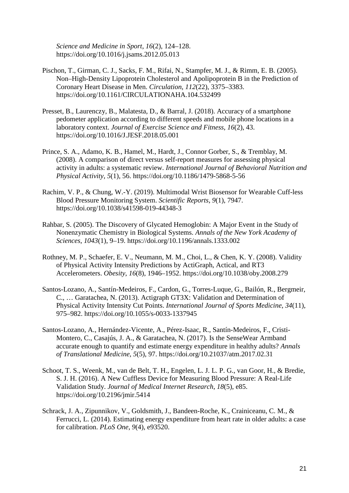*Science and Medicine in Sport*, *16*(2), 124–128. https://doi.org/10.1016/j.jsams.2012.05.013

- Pischon, T., Girman, C. J., Sacks, F. M., Rifai, N., Stampfer, M. J., & Rimm, E. B. (2005). Non–High-Density Lipoprotein Cholesterol and Apolipoprotein B in the Prediction of Coronary Heart Disease in Men. *Circulation*, *112*(22), 3375–3383. https://doi.org/10.1161/CIRCULATIONAHA.104.532499
- Presset, B., Laurenczy, B., Malatesta, D., & Barral, J. (2018). Accuracy of a smartphone pedometer application according to different speeds and mobile phone locations in a laboratory context. *Journal of Exercise Science and Fitness*, *16*(2), 43. https://doi.org/10.1016/J.JESF.2018.05.001
- Prince, S. A., Adamo, K. B., Hamel, M., Hardt, J., Connor Gorber, S., & Tremblay, M. (2008). A comparison of direct versus self-report measures for assessing physical activity in adults: a systematic review. *International Journal of Behavioral Nutrition and Physical Activity*, *5*(1), 56. https://doi.org/10.1186/1479-5868-5-56
- Rachim, V. P., & Chung, W.-Y. (2019). Multimodal Wrist Biosensor for Wearable Cuff-less Blood Pressure Monitoring System. *Scientific Reports*, *9*(1), 7947. https://doi.org/10.1038/s41598-019-44348-3
- Rahbar, S. (2005). The Discovery of Glycated Hemoglobin: A Major Event in the Study of Nonenzymatic Chemistry in Biological Systems. *Annals of the New York Academy of Sciences*, *1043*(1), 9–19. https://doi.org/10.1196/annals.1333.002
- Rothney, M. P., Schaefer, E. V., Neumann, M. M., Choi, L., & Chen, K. Y. (2008). Validity of Physical Activity Intensity Predictions by ActiGraph, Actical, and RT3 Accelerometers. *Obesity*, *16*(8), 1946–1952. https://doi.org/10.1038/oby.2008.279
- Santos-Lozano, A., Santín-Medeiros, F., Cardon, G., Torres-Luque, G., Bailón, R., Bergmeir, C., … Garatachea, N. (2013). Actigraph GT3X: Validation and Determination of Physical Activity Intensity Cut Points. *International Journal of Sports Medicine*, *34*(11), 975–982. https://doi.org/10.1055/s-0033-1337945
- Santos-Lozano, A., Hernández-Vicente, A., Pérez-Isaac, R., Santín-Medeiros, F., Cristi-Montero, C., Casajús, J. A., & Garatachea, N. (2017). Is the SenseWear Armband accurate enough to quantify and estimate energy expenditure in healthy adults? *Annals of Translational Medicine*, *5*(5), 97. https://doi.org/10.21037/atm.2017.02.31
- Schoot, T. S., Weenk, M., van de Belt, T. H., Engelen, L. J. L. P. G., van Goor, H., & Bredie, S. J. H. (2016). A New Cuffless Device for Measuring Blood Pressure: A Real-Life Validation Study. *Journal of Medical Internet Research*, *18*(5), e85. https://doi.org/10.2196/jmir.5414
- Schrack, J. A., Zipunnikov, V., Goldsmith, J., Bandeen-Roche, K., Crainiceanu, C. M., & Ferrucci, L. (2014). Estimating energy expenditure from heart rate in older adults: a case for calibration. *PLoS One*, *9*(4), e93520.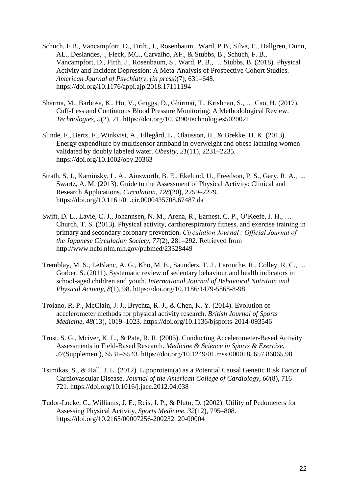- Schuch, F.B., Vancampfort, D., Firth., J., Rosenbaum., Ward, P.B., Silva, E., Hallgren, Dunn, AL., Deslandes, ., Fleck, MC., Carvalho, AF., & Stubbs, B., Schuch, F. B., Vancampfort, D., Firth, J., Rosenbaum, S., Ward, P. B., … Stubbs, B. (2018). Physical Activity and Incident Depression: A Meta-Analysis of Prospective Cohort Studies. *American Journal of Psychiatry*, *(in press)*(7), 631–648. https://doi.org/10.1176/appi.ajp.2018.17111194
- Sharma, M., Barbosa, K., Ho, V., Griggs, D., Ghirmai, T., Krishnan, S., … Cao, H. (2017). Cuff-Less and Continuous Blood Pressure Monitoring: A Methodological Review. *Technologies*, *5*(2), 21. https://doi.org/10.3390/technologies5020021
- Slinde, F., Bertz, F., Winkvist, A., Ellegård, L., Olausson, H., & Brekke, H. K. (2013). Energy expenditure by multisensor armband in overweight and obese lactating women validated by doubly labeled water. *Obesity*, *21*(11), 2231–2235. https://doi.org/10.1002/oby.20363
- Strath, S. J., Kaminsky, L. A., Ainsworth, B. E., Ekelund, U., Freedson, P. S., Gary, R. A., … Swartz, A. M. (2013). Guide to the Assessment of Physical Activity: Clinical and Research Applications. *Circulation*, *128*(20), 2259–2279. https://doi.org/10.1161/01.cir.0000435708.67487.da
- Swift, D. L., Lavie, C. J., Johannsen, N. M., Arena, R., Earnest, C. P., O'Keefe, J. H., … Church, T. S. (2013). Physical activity, cardiorespiratory fitness, and exercise training in primary and secondary coronary prevention. *Circulation Journal : Official Journal of the Japanese Circulation Society*, *77*(2), 281–292. Retrieved from http://www.ncbi.nlm.nih.gov/pubmed/23328449
- Tremblay, M. S., LeBlanc, A. G., Kho, M. E., Saunders, T. J., Larouche, R., Colley, R. C., … Gorber, S. (2011). Systematic review of sedentary behaviour and health indicators in school-aged children and youth. *International Journal of Behavioral Nutrition and Physical Activity*, *8*(1), 98. https://doi.org/10.1186/1479-5868-8-98
- Troiano, R. P., McClain, J. J., Brychta, R. J., & Chen, K. Y. (2014). Evolution of accelerometer methods for physical activity research. *British Journal of Sports Medicine*, *48*(13), 1019–1023. https://doi.org/10.1136/bjsports-2014-093546
- Trost, S. G., Mciver, K. L., & Pate, R. R. (2005). Conducting Accelerometer-Based Activity Assessments in Field-Based Research. *Medicine & Science in Sports & Exercise*, *37*(Supplement), S531–S543. https://doi.org/10.1249/01.mss.0000185657.86065.98
- Tsimikas, S., & Hall, J. L. (2012). Lipoprotein(a) as a Potential Causal Genetic Risk Factor of Cardiovascular Disease. *Journal of the American College of Cardiology*, *60*(8), 716– 721. https://doi.org/10.1016/j.jacc.2012.04.038
- Tudor-Locke, C., Williams, J. E., Reis, J. P., & Pluto, D. (2002). Utility of Pedometers for Assessing Physical Activity. *Sports Medicine*, *32*(12), 795–808. https://doi.org/10.2165/00007256-200232120-00004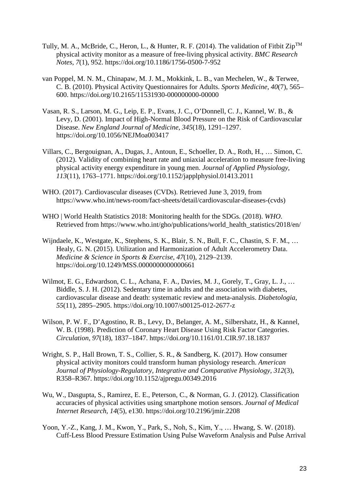- Tully, M. A., McBride, C., Heron, L., & Hunter, R. F. (2014). The validation of Fitbit Zip<sup>TM</sup> physical activity monitor as a measure of free-living physical activity. *BMC Research Notes*, *7*(1), 952. https://doi.org/10.1186/1756-0500-7-952
- van Poppel, M. N. M., Chinapaw, M. J. M., Mokkink, L. B., van Mechelen, W., & Terwee, C. B. (2010). Physical Activity Questionnaires for Adults. *Sports Medicine*, *40*(7), 565– 600. https://doi.org/10.2165/11531930-000000000-00000
- Vasan, R. S., Larson, M. G., Leip, E. P., Evans, J. C., O'Donnell, C. J., Kannel, W. B., & Levy, D. (2001). Impact of High-Normal Blood Pressure on the Risk of Cardiovascular Disease. *New England Journal of Medicine*, *345*(18), 1291–1297. https://doi.org/10.1056/NEJMoa003417
- Villars, C., Bergouignan, A., Dugas, J., Antoun, E., Schoeller, D. A., Roth, H., … Simon, C. (2012). Validity of combining heart rate and uniaxial acceleration to measure free-living physical activity energy expenditure in young men. *Journal of Applied Physiology*, *113*(11), 1763–1771. https://doi.org/10.1152/japplphysiol.01413.2011
- WHO. (2017). Cardiovascular diseases (CVDs). Retrieved June 3, 2019, from https://www.who.int/news-room/fact-sheets/detail/cardiovascular-diseases-(cvds)
- WHO | World Health Statistics 2018: Monitoring health for the SDGs. (2018). *WHO*. Retrieved from https://www.who.int/gho/publications/world\_health\_statistics/2018/en/
- Wijndaele, K., Westgate, K., Stephens, S. K., Blair, S. N., Bull, F. C., Chastin, S. F. M., … Healy, G. N. (2015). Utilization and Harmonization of Adult Accelerometry Data. *Medicine & Science in Sports & Exercise*, *47*(10), 2129–2139. https://doi.org/10.1249/MSS.0000000000000661
- Wilmot, E. G., Edwardson, C. L., Achana, F. A., Davies, M. J., Gorely, T., Gray, L. J., … Biddle, S. J. H. (2012). Sedentary time in adults and the association with diabetes, cardiovascular disease and death: systematic review and meta-analysis. *Diabetologia*, *55*(11), 2895–2905. https://doi.org/10.1007/s00125-012-2677-z
- Wilson, P. W. F., D'Agostino, R. B., Levy, D., Belanger, A. M., Silbershatz, H., & Kannel, W. B. (1998). Prediction of Coronary Heart Disease Using Risk Factor Categories. *Circulation*, *97*(18), 1837–1847. https://doi.org/10.1161/01.CIR.97.18.1837
- Wright, S. P., Hall Brown, T. S., Collier, S. R., & Sandberg, K. (2017). How consumer physical activity monitors could transform human physiology research. *American Journal of Physiology-Regulatory, Integrative and Comparative Physiology*, *312*(3), R358–R367. https://doi.org/10.1152/ajpregu.00349.2016
- Wu, W., Dasgupta, S., Ramirez, E. E., Peterson, C., & Norman, G. J. (2012). Classification accuracies of physical activities using smartphone motion sensors. *Journal of Medical Internet Research*, *14*(5), e130. https://doi.org/10.2196/jmir.2208
- Yoon, Y.-Z., Kang, J. M., Kwon, Y., Park, S., Noh, S., Kim, Y., … Hwang, S. W. (2018). Cuff-Less Blood Pressure Estimation Using Pulse Waveform Analysis and Pulse Arrival